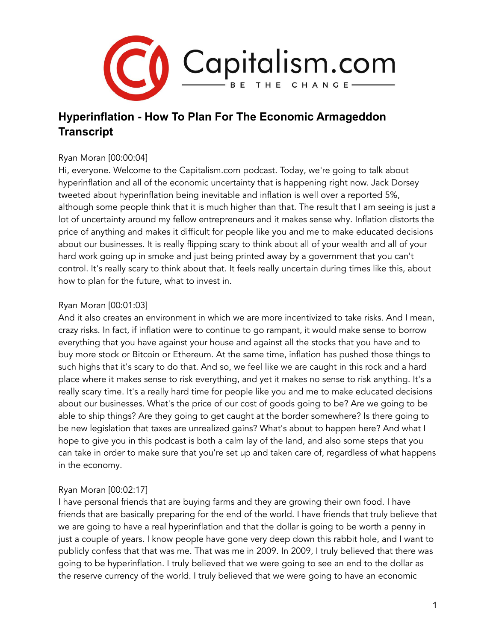

# **Hyperinflation - How To Plan For The Economic Armageddon Transcript**

#### Ryan Moran [00:00:04]

Hi, everyone. Welcome to the Capitalism.com podcast. Today, we're going to talk about hyperinflation and all of the economic uncertainty that is happening right now. Jack Dorsey tweeted about hyperinflation being inevitable and inflation is well over a reported 5%, although some people think that it is much higher than that. The result that I am seeing is just a lot of uncertainty around my fellow entrepreneurs and it makes sense why. Inflation distorts the price of anything and makes it difficult for people like you and me to make educated decisions about our businesses. It is really flipping scary to think about all of your wealth and all of your hard work going up in smoke and just being printed away by a government that you can't control. It's really scary to think about that. It feels really uncertain during times like this, about how to plan for the future, what to invest in.

# Ryan Moran [00:01:03]

And it also creates an environment in which we are more incentivized to take risks. And I mean, crazy risks. In fact, if inflation were to continue to go rampant, it would make sense to borrow everything that you have against your house and against all the stocks that you have and to buy more stock or Bitcoin or Ethereum. At the same time, inflation has pushed those things to such highs that it's scary to do that. And so, we feel like we are caught in this rock and a hard place where it makes sense to risk everything, and yet it makes no sense to risk anything. It's a really scary time. It's a really hard time for people like you and me to make educated decisions about our businesses. What's the price of our cost of goods going to be? Are we going to be able to ship things? Are they going to get caught at the border somewhere? Is there going to be new legislation that taxes are unrealized gains? What's about to happen here? And what I hope to give you in this podcast is both a calm lay of the land, and also some steps that you can take in order to make sure that you're set up and taken care of, regardless of what happens in the economy.

#### Ryan Moran [00:02:17]

I have personal friends that are buying farms and they are growing their own food. I have friends that are basically preparing for the end of the world. I have friends that truly believe that we are going to have a real hyperinflation and that the dollar is going to be worth a penny in just a couple of years. I know people have gone very deep down this rabbit hole, and I want to publicly confess that that was me. That was me in 2009. In 2009, I truly believed that there was going to be hyperinflation. I truly believed that we were going to see an end to the dollar as the reserve currency of the world. I truly believed that we were going to have an economic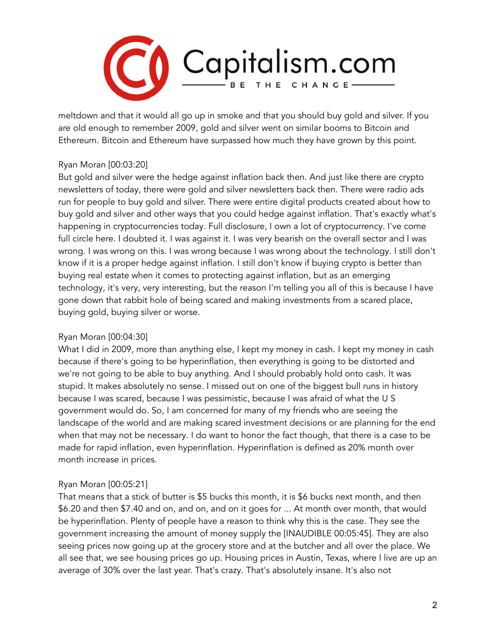

meltdown and that it would all go up in smoke and that you should buy gold and silver. If you are old enough to remember 2009, gold and silver went on similar booms to Bitcoin and Ethereum. Bitcoin and Ethereum have surpassed how much they have grown by this point.

# Ryan Moran [00:03:20]

But gold and silver were the hedge against inflation back then. And just like there are crypto newsletters of today, there were gold and silver newsletters back then. There were radio ads run for people to buy gold and silver. There were entire digital products created about how to buy gold and silver and other ways that you could hedge against inflation. That's exactly what's happening in cryptocurrencies today. Full disclosure, I own a lot of cryptocurrency. I've come full circle here. I doubted it. I was against it. I was very bearish on the overall sector and I was wrong. I was wrong on this. I was wrong because I was wrong about the technology. I still don't know if it is a proper hedge against inflation. I still don't know if buying crypto is better than buying real estate when it comes to protecting against inflation, but as an emerging technology, it's very, very interesting, but the reason I'm telling you all of this is because I have gone down that rabbit hole of being scared and making investments from a scared place, buying gold, buying silver or worse.

#### Ryan Moran [00:04:30]

What I did in 2009, more than anything else, I kept my money in cash. I kept my money in cash because if there's going to be hyperinflation, then everything is going to be distorted and we're not going to be able to buy anything. And I should probably hold onto cash. It was stupid. It makes absolutely no sense. I missed out on one of the biggest bull runs in history because I was scared, because I was pessimistic, because I was afraid of what the U S government would do. So, I am concerned for many of my friends who are seeing the landscape of the world and are making scared investment decisions or are planning for the end when that may not be necessary. I do want to honor the fact though, that there is a case to be made for rapid inflation, even hyperinflation. Hyperinflation is defined as 20% month over month increase in prices.

#### Ryan Moran [00:05:21]

That means that a stick of butter is \$5 bucks this month, it is \$6 bucks next month, and then \$6.20 and then \$7.40 and on, and on, and on it goes for ... At month over month, that would be hyperinflation. Plenty of people have a reason to think why this is the case. They see the government increasing the amount of money supply the [INAUDIBLE 00:05:45]. They are also seeing prices now going up at the grocery store and at the butcher and all over the place. We all see that, we see housing prices go up. Housing prices in Austin, Texas, where I live are up an average of 30% over the last year. That's crazy. That's absolutely insane. It's also not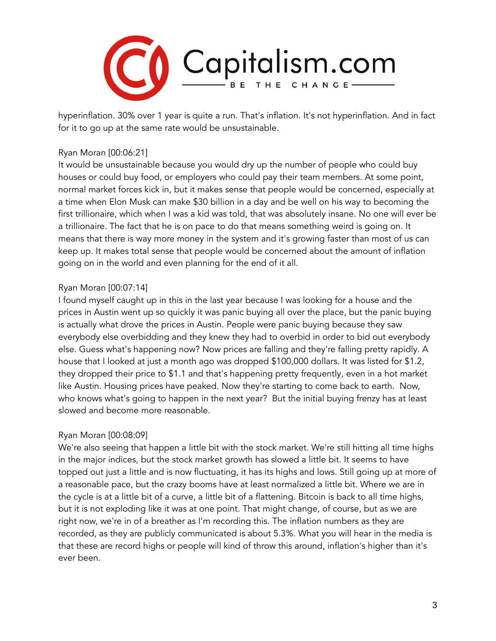

hyperinflation. 30% over 1 year is quite a run. That's inflation. It's not hyperinflation. And in fact for it to go up at the same rate would be unsustainable.

#### Ryan Moran [00:06:21]

It would be unsustainable because you would dry up the number of people who could buy houses or could buy food, or employers who could pay their team members. At some point, normal market forces kick in, but it makes sense that people would be concerned, especially at a time when Elon Musk can make \$30 billion in a day and be well on his way to becoming the first trillionaire, which when I was a kid was told, that was absolutely insane. No one will ever be a trillionaire. The fact that he is on pace to do that means something weird is going on. It means that there is way more money in the system and it's growing faster than most of us can keep up. It makes total sense that people would be concerned about the amount of inflation going on in the world and even planning for the end of it all.

#### Ryan Moran [00:07:14]

I found myself caught up in this in the last year because I was looking for a house and the prices in Austin went up so quickly it was panic buying all over the place, but the panic buying is actually what drove the prices in Austin. People were panic buying because they saw everybody else overbidding and they knew they had to overbid in order to bid out everybody else. Guess what's happening now? Now prices are falling and they're falling pretty rapidly. A house that I looked at just a month ago was dropped \$100,000 dollars. It was listed for \$1.2, they dropped their price to \$1.1 and that's happening pretty frequently, even in a hot market like Austin. Housing prices have peaked. Now they're starting to come back to earth. Now, who knows what's going to happen in the next year? But the initial buying frenzy has at least slowed and become more reasonable.

#### Ryan Moran [00:08:09]

We're also seeing that happen a little bit with the stock market. We're still hitting all time highs in the major indices, but the stock market growth has slowed a little bit. It seems to have topped out just a little and is now fluctuating, it has its highs and lows. Still going up at more of a reasonable pace, but the crazy booms have at least normalized a little bit. Where we are in the cycle is at a little bit of a curve, a little bit of a flattening. Bitcoin is back to all time highs, but it is not exploding like it was at one point. That might change, of course, but as we are right now, we're in of a breather as I'm recording this. The inflation numbers as they are recorded, as they are publicly communicated is about 5.3%. What you will hear in the media is that these are record highs or people will kind of throw this around, inflation's higher than it's ever been.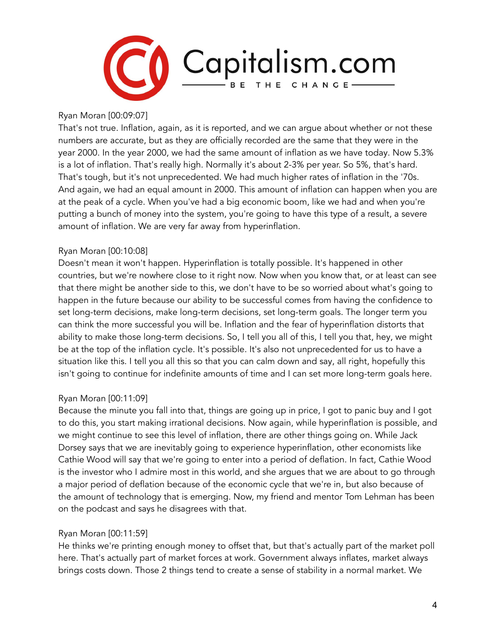

Ryan Moran [00:09:07]

That's not true. Inflation, again, as it is reported, and we can argue about whether or not these numbers are accurate, but as they are officially recorded are the same that they were in the year 2000. In the year 2000, we had the same amount of inflation as we have today. Now 5.3% is a lot of inflation. That's really high. Normally it's about 2-3% per year. So 5%, that's hard. That's tough, but it's not unprecedented. We had much higher rates of inflation in the '70s. And again, we had an equal amount in 2000. This amount of inflation can happen when you are at the peak of a cycle. When you've had a big economic boom, like we had and when you're putting a bunch of money into the system, you're going to have this type of a result, a severe amount of inflation. We are very far away from hyperinflation.

# Ryan Moran [00:10:08]

Doesn't mean it won't happen. Hyperinflation is totally possible. It's happened in other countries, but we're nowhere close to it right now. Now when you know that, or at least can see that there might be another side to this, we don't have to be so worried about what's going to happen in the future because our ability to be successful comes from having the confidence to set long-term decisions, make long-term decisions, set long-term goals. The longer term you can think the more successful you will be. Inflation and the fear of hyperinflation distorts that ability to make those long-term decisions. So, I tell you all of this, I tell you that, hey, we might be at the top of the inflation cycle. It's possible. It's also not unprecedented for us to have a situation like this. I tell you all this so that you can calm down and say, all right, hopefully this isn't going to continue for indefinite amounts of time and I can set more long-term goals here.

#### Ryan Moran [00:11:09]

Because the minute you fall into that, things are going up in price, I got to panic buy and I got to do this, you start making irrational decisions. Now again, while hyperinflation is possible, and we might continue to see this level of inflation, there are other things going on. While Jack Dorsey says that we are inevitably going to experience hyperinflation, other economists like Cathie Wood will say that we're going to enter into a period of deflation. In fact, Cathie Wood is the investor who I admire most in this world, and she argues that we are about to go through a major period of deflation because of the economic cycle that we're in, but also because of the amount of technology that is emerging. Now, my friend and mentor Tom Lehman has been on the podcast and says he disagrees with that.

#### Ryan Moran [00:11:59]

He thinks we're printing enough money to offset that, but that's actually part of the market poll here. That's actually part of market forces at work. Government always inflates, market always brings costs down. Those 2 things tend to create a sense of stability in a normal market. We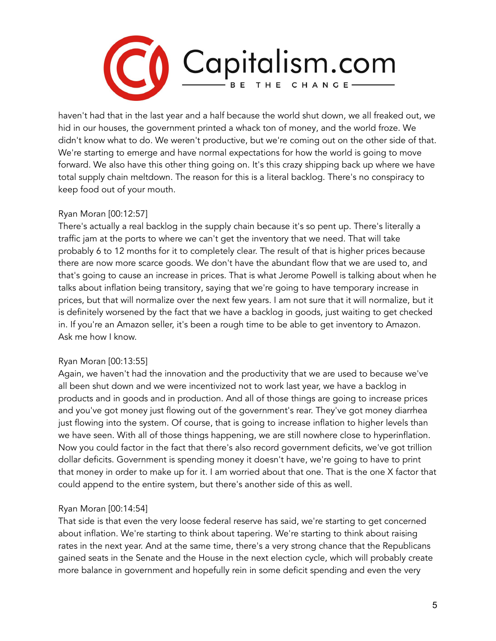

haven't had that in the last year and a half because the world shut down, we all freaked out, we hid in our houses, the government printed a whack ton of money, and the world froze. We didn't know what to do. We weren't productive, but we're coming out on the other side of that. We're starting to emerge and have normal expectations for how the world is going to move forward. We also have this other thing going on. It's this crazy shipping back up where we have total supply chain meltdown. The reason for this is a literal backlog. There's no conspiracy to keep food out of your mouth.

#### Ryan Moran [00:12:57]

There's actually a real backlog in the supply chain because it's so pent up. There's literally a traffic jam at the ports to where we can't get the inventory that we need. That will take probably 6 to 12 months for it to completely clear. The result of that is higher prices because there are now more scarce goods. We don't have the abundant flow that we are used to, and that's going to cause an increase in prices. That is what Jerome Powell is talking about when he talks about inflation being transitory, saying that we're going to have temporary increase in prices, but that will normalize over the next few years. I am not sure that it will normalize, but it is definitely worsened by the fact that we have a backlog in goods, just waiting to get checked in. If you're an Amazon seller, it's been a rough time to be able to get inventory to Amazon. Ask me how I know.

#### Ryan Moran [00:13:55]

Again, we haven't had the innovation and the productivity that we are used to because we've all been shut down and we were incentivized not to work last year, we have a backlog in products and in goods and in production. And all of those things are going to increase prices and you've got money just flowing out of the government's rear. They've got money diarrhea just flowing into the system. Of course, that is going to increase inflation to higher levels than we have seen. With all of those things happening, we are still nowhere close to hyperinflation. Now you could factor in the fact that there's also record government deficits, we've got trillion dollar deficits. Government is spending money it doesn't have, we're going to have to print that money in order to make up for it. I am worried about that one. That is the one X factor that could append to the entire system, but there's another side of this as well.

#### Ryan Moran [00:14:54]

That side is that even the very loose federal reserve has said, we're starting to get concerned about inflation. We're starting to think about tapering. We're starting to think about raising rates in the next year. And at the same time, there's a very strong chance that the Republicans gained seats in the Senate and the House in the next election cycle, which will probably create more balance in government and hopefully rein in some deficit spending and even the very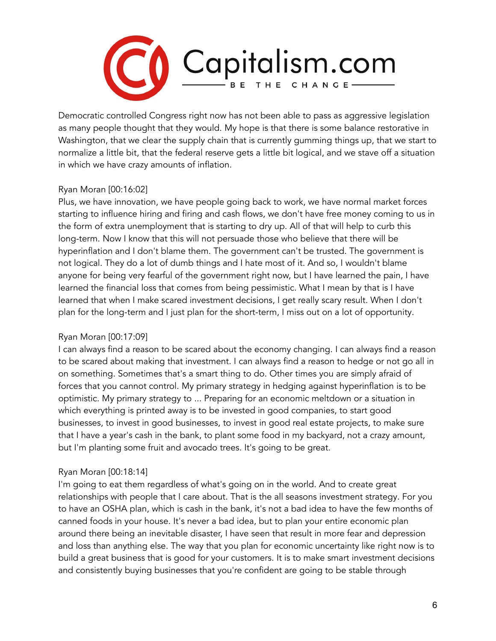

Democratic controlled Congress right now has not been able to pass as aggressive legislation as many people thought that they would. My hope is that there is some balance restorative in Washington, that we clear the supply chain that is currently gumming things up, that we start to normalize a little bit, that the federal reserve gets a little bit logical, and we stave off a situation in which we have crazy amounts of inflation.

# Ryan Moran [00:16:02]

Plus, we have innovation, we have people going back to work, we have normal market forces starting to influence hiring and firing and cash flows, we don't have free money coming to us in the form of extra unemployment that is starting to dry up. All of that will help to curb this long-term. Now I know that this will not persuade those who believe that there will be hyperinflation and I don't blame them. The government can't be trusted. The government is not logical. They do a lot of dumb things and I hate most of it. And so, I wouldn't blame anyone for being very fearful of the government right now, but I have learned the pain, I have learned the financial loss that comes from being pessimistic. What I mean by that is I have learned that when I make scared investment decisions, I get really scary result. When I don't plan for the long-term and I just plan for the short-term, I miss out on a lot of opportunity.

#### Ryan Moran [00:17:09]

I can always find a reason to be scared about the economy changing. I can always find a reason to be scared about making that investment. I can always find a reason to hedge or not go all in on something. Sometimes that's a smart thing to do. Other times you are simply afraid of forces that you cannot control. My primary strategy in hedging against hyperinflation is to be optimistic. My primary strategy to ... Preparing for an economic meltdown or a situation in which everything is printed away is to be invested in good companies, to start good businesses, to invest in good businesses, to invest in good real estate projects, to make sure that I have a year's cash in the bank, to plant some food in my backyard, not a crazy amount, but I'm planting some fruit and avocado trees. It's going to be great.

# Ryan Moran [00:18:14]

I'm going to eat them regardless of what's going on in the world. And to create great relationships with people that I care about. That is the all seasons investment strategy. For you to have an OSHA plan, which is cash in the bank, it's not a bad idea to have the few months of canned foods in your house. It's never a bad idea, but to plan your entire economic plan around there being an inevitable disaster, I have seen that result in more fear and depression and loss than anything else. The way that you plan for economic uncertainty like right now is to build a great business that is good for your customers. It is to make smart investment decisions and consistently buying businesses that you're confident are going to be stable through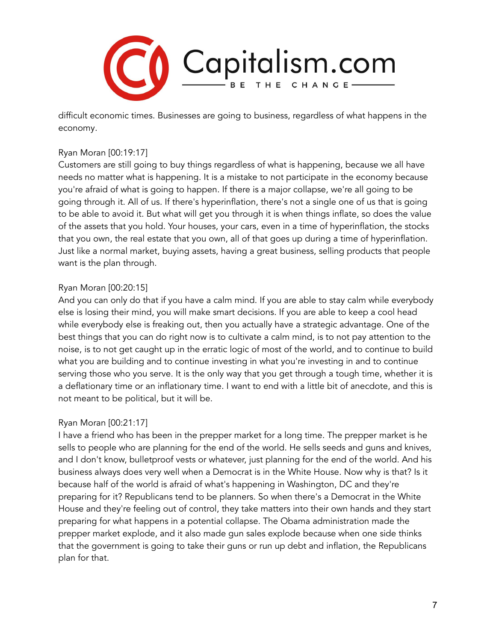

difficult economic times. Businesses are going to business, regardless of what happens in the economy.

#### Ryan Moran [00:19:17]

Customers are still going to buy things regardless of what is happening, because we all have needs no matter what is happening. It is a mistake to not participate in the economy because you're afraid of what is going to happen. If there is a major collapse, we're all going to be going through it. All of us. If there's hyperinflation, there's not a single one of us that is going to be able to avoid it. But what will get you through it is when things inflate, so does the value of the assets that you hold. Your houses, your cars, even in a time of hyperinflation, the stocks that you own, the real estate that you own, all of that goes up during a time of hyperinflation. Just like a normal market, buying assets, having a great business, selling products that people want is the plan through.

#### Ryan Moran [00:20:15]

And you can only do that if you have a calm mind. If you are able to stay calm while everybody else is losing their mind, you will make smart decisions. If you are able to keep a cool head while everybody else is freaking out, then you actually have a strategic advantage. One of the best things that you can do right now is to cultivate a calm mind, is to not pay attention to the noise, is to not get caught up in the erratic logic of most of the world, and to continue to build what you are building and to continue investing in what you're investing in and to continue serving those who you serve. It is the only way that you get through a tough time, whether it is a deflationary time or an inflationary time. I want to end with a little bit of anecdote, and this is not meant to be political, but it will be.

# Ryan Moran [00:21:17]

I have a friend who has been in the prepper market for a long time. The prepper market is he sells to people who are planning for the end of the world. He sells seeds and guns and knives, and I don't know, bulletproof vests or whatever, just planning for the end of the world. And his business always does very well when a Democrat is in the White House. Now why is that? Is it because half of the world is afraid of what's happening in Washington, DC and they're preparing for it? Republicans tend to be planners. So when there's a Democrat in the White House and they're feeling out of control, they take matters into their own hands and they start preparing for what happens in a potential collapse. The Obama administration made the prepper market explode, and it also made gun sales explode because when one side thinks that the government is going to take their guns or run up debt and inflation, the Republicans plan for that.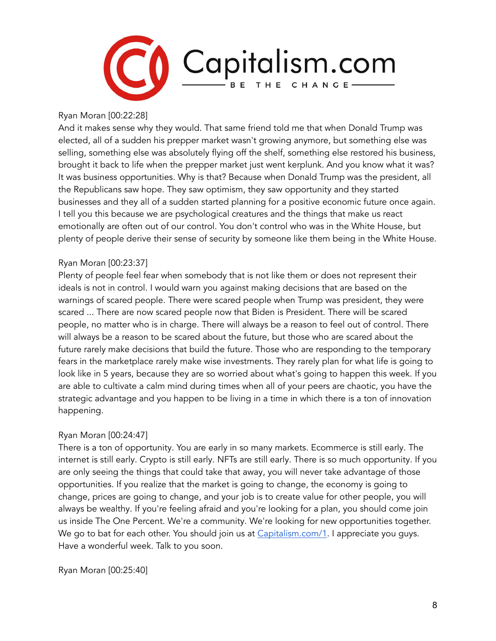

#### Ryan Moran [00:22:28]

And it makes sense why they would. That same friend told me that when Donald Trump was elected, all of a sudden his prepper market wasn't growing anymore, but something else was selling, something else was absolutely flying off the shelf, something else restored his business, brought it back to life when the prepper market just went kerplunk. And you know what it was? It was business opportunities. Why is that? Because when Donald Trump was the president, all the Republicans saw hope. They saw optimism, they saw opportunity and they started businesses and they all of a sudden started planning for a positive economic future once again. I tell you this because we are psychological creatures and the things that make us react emotionally are often out of our control. You don't control who was in the White House, but plenty of people derive their sense of security by someone like them being in the White House.

#### Ryan Moran [00:23:37]

Plenty of people feel fear when somebody that is not like them or does not represent their ideals is not in control. I would warn you against making decisions that are based on the warnings of scared people. There were scared people when Trump was president, they were scared ... There are now scared people now that Biden is President. There will be scared people, no matter who is in charge. There will always be a reason to feel out of control. There will always be a reason to be scared about the future, but those who are scared about the future rarely make decisions that build the future. Those who are responding to the temporary fears in the marketplace rarely make wise investments. They rarely plan for what life is going to look like in 5 years, because they are so worried about what's going to happen this week. If you are able to cultivate a calm mind during times when all of your peers are chaotic, you have the strategic advantage and you happen to be living in a time in which there is a ton of innovation happening.

#### Ryan Moran [00:24:47]

There is a ton of opportunity. You are early in so many markets. Ecommerce is still early. The internet is still early. Crypto is still early. NFTs are still early. There is so much opportunity. If you are only seeing the things that could take that away, you will never take advantage of those opportunities. If you realize that the market is going to change, the economy is going to change, prices are going to change, and your job is to create value for other people, you will always be wealthy. If you're feeling afraid and you're looking for a plan, you should come join us inside The One Percent. We're a community. We're looking for new opportunities together. We go to bat for each other. You should join us at [Capitalism.com/1.](https://www.capitalism.com/the-one-percent/?utm_source=CapPod&utm_medium=podcast&utm_campaign=episode) I appreciate you guys. Have a wonderful week. Talk to you soon.

Ryan Moran [00:25:40]